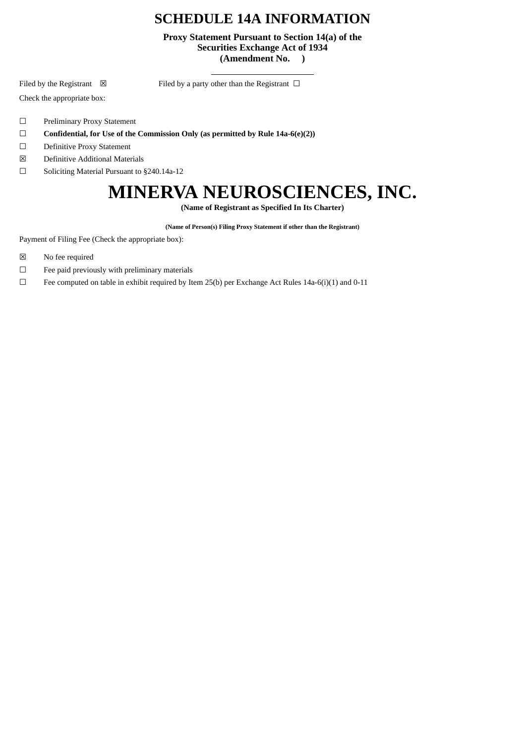## **SCHEDULE 14A INFORMATION**

**Proxy Statement Pursuant to Section 14(a) of the Securities Exchange Act of 1934 (Amendment No. )**

Filed by the Registrant  $\boxtimes$  Filed by a party other than the Registrant  $\Box$ 

Check the appropriate box:

- ☐ Preliminary Proxy Statement
- ☐ **Confidential, for Use of the Commission Only (as permitted by Rule 14a-6(e)(2))**
- ☐ Definitive Proxy Statement
- ☒ Definitive Additional Materials
- ☐ Soliciting Material Pursuant to §240.14a-12

## **MINERVA NEUROSCIENCES, INC.**

**(Name of Registrant as Specified In Its Charter)**

**(Name of Person(s) Filing Proxy Statement if other than the Registrant)**

Payment of Filing Fee (Check the appropriate box):

- ☒ No fee required
- $□$  Fee paid previously with preliminary materials
- $\Box$  Fee computed on table in exhibit required by Item 25(b) per Exchange Act Rules 14a-6(i)(1) and 0-11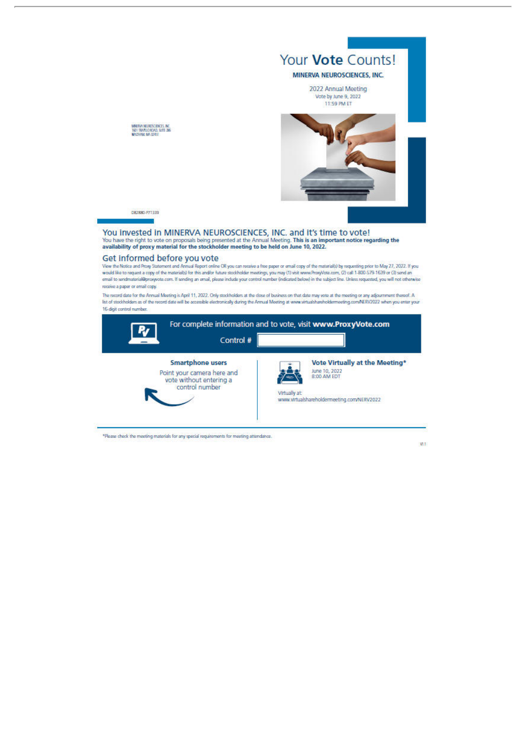

## Get informed before you vote

View the Notice and Proxy Statement and Annual Report online OR you can receive a free paper or email copy of the material(s) by requesting prior to May 27, 2022. If you<br>would like to request a copy of the material(s) for email to sendmaterial@proxyvote.com. If sending an email, please include your control number (indicated below) in the subject line. Unless requested, you will not otherwise receive a paper or email copy.

The record date for the Annual Meeting is April 11, 2022. Only stockholders at the dose of business on that date may vote at the meeting or any adjournment thereof. A<br>Int of stockholders as of the record date will be acces 16-digit control number.

|                                                                                                    | Control # |               | For complete information and to vote, visit www.ProxyVote.com                                                |
|----------------------------------------------------------------------------------------------------|-----------|---------------|--------------------------------------------------------------------------------------------------------------|
| <b>Smartphone users</b><br>Point your camera here and<br>vote without entering a<br>control number |           | Virtually at: | Vote Virtually at the Meeting*<br>June 10, 2022<br>8:00 AM EDT<br>www.virtualshareholdermeeting.com/NERV2022 |

\*Please check the meeting materials for any special requirements for meeting attendance.

W.I.